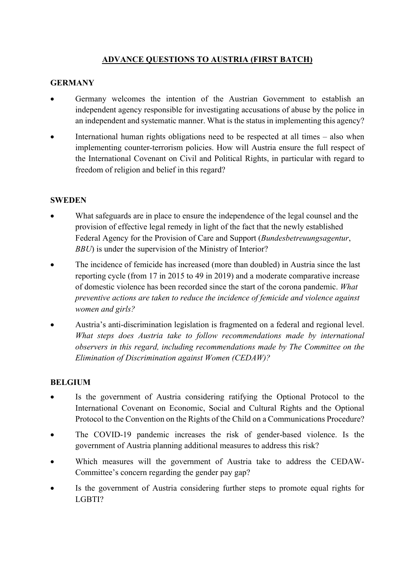## **ADVANCE QUESTIONS TO AUSTRIA (FIRST BATCH)**

## **GERMANY**

- Germany welcomes the intention of the Austrian Government to establish an independent agency responsible for investigating accusations of abuse by the police in an independent and systematic manner. What is the status in implementing this agency?
- International human rights obligations need to be respected at all times  $-$  also when implementing counter-terrorism policies. How will Austria ensure the full respect of the International Covenant on Civil and Political Rights, in particular with regard to freedom of religion and belief in this regard?

#### **SWEDEN**

- What safeguards are in place to ensure the independence of the legal counsel and the provision of effective legal remedy in light of the fact that the newly established Federal Agency for the Provision of Care and Support (*Bundesbetreuungsagentur*, *BBU*) is under the supervision of the Ministry of Interior?
- The incidence of femicide has increased (more than doubled) in Austria since the last reporting cycle (from 17 in 2015 to 49 in 2019) and a moderate comparative increase of domestic violence has been recorded since the start of the corona pandemic. *What preventive actions are taken to reduce the incidence of femicide and violence against women and girls?*
- Austria's anti-discrimination legislation is fragmented on a federal and regional level. *What steps does Austria take to follow recommendations made by international observers in this regard, including recommendations made by The Committee on the Elimination of Discrimination against Women (CEDAW)?*

### **BELGIUM**

- Is the government of Austria considering ratifying the Optional Protocol to the International Covenant on Economic, Social and Cultural Rights and the Optional Protocol to the Convention on the Rights of the Child on a Communications Procedure?
- The COVID-19 pandemic increases the risk of gender-based violence. Is the government of Austria planning additional measures to address this risk?
- Which measures will the government of Austria take to address the CEDAW-Committee's concern regarding the gender pay gap?
- Is the government of Austria considering further steps to promote equal rights for LGBTI?